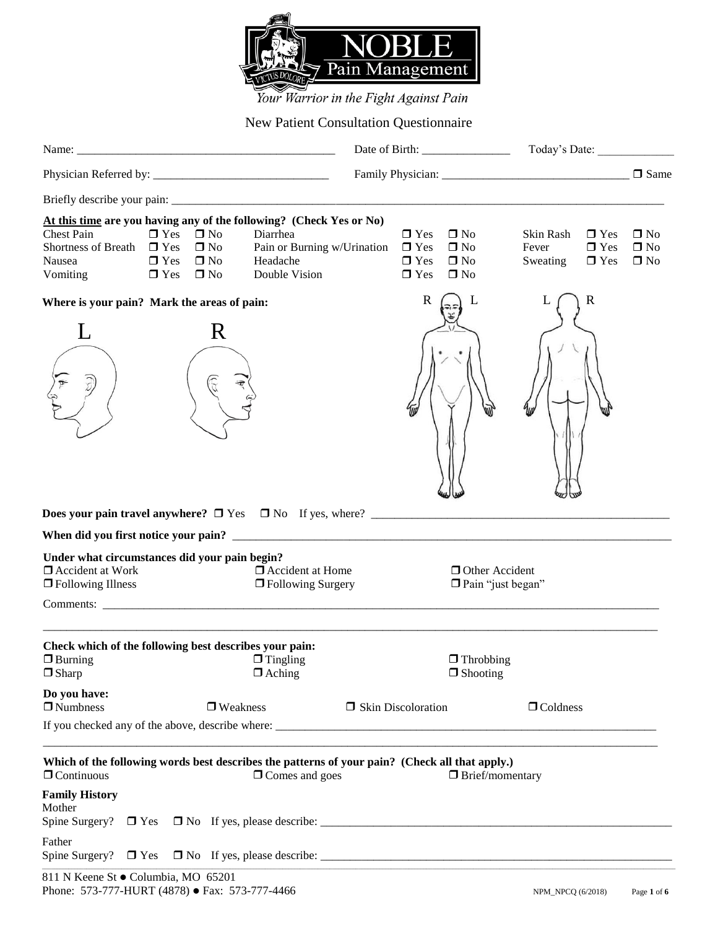

Your Warrior in the Fight Against Pain

## New Patient Consultation Questionnaire

| At this time are you having any of the following? (Check Yes or No)<br><b>Chest Pain</b><br>Shortness of Breath $\Box$ Yes<br>Nausea<br>Vomiting | $\Box$ Yes | $\Box$ Yes $\Box$ No<br>$\square$ No<br>$\square$ No<br>$\Box$ Yes $\Box$ No | Diarrhea<br>Pain or Burning w/Urination<br>Headache<br>Double Vision |                      | $\Box$ Yes<br>$\Box$ Yes<br>$\Box$ Yes<br>$\Box$ Yes | $\Box$ No<br>$\square$ No<br>$\square$ No<br>$\Box$ No                              | Skin Rash<br>Fever<br>Sweating | $\Box$ Yes<br>$\Box$ Yes<br>$\Box$ Yes | $\Box$ No<br>$\Box$ No<br>$\square$ No |
|--------------------------------------------------------------------------------------------------------------------------------------------------|------------|------------------------------------------------------------------------------|----------------------------------------------------------------------|----------------------|------------------------------------------------------|-------------------------------------------------------------------------------------|--------------------------------|----------------------------------------|----------------------------------------|
| Where is your pain? Mark the areas of pain:                                                                                                      |            |                                                                              |                                                                      |                      | $\mathbf R$                                          | L                                                                                   |                                | $\mathbf R$                            |                                        |
|                                                                                                                                                  |            | R                                                                            |                                                                      |                      |                                                      |                                                                                     |                                |                                        |                                        |
|                                                                                                                                                  |            |                                                                              |                                                                      |                      |                                                      |                                                                                     |                                |                                        |                                        |
| Under what circumstances did your pain begin?<br>$\Box$ Accident at Work<br>□ Following Illness                                                  |            |                                                                              | $\Box$ Accident at Home<br>□ Following Surgery                       |                      |                                                      | <b>Other Accident</b><br>Pain "just began"                                          |                                |                                        |                                        |
|                                                                                                                                                  |            |                                                                              |                                                                      |                      |                                                      |                                                                                     |                                |                                        |                                        |
| Check which of the following best describes your pain:<br>$\Box$ Burning<br>$\Box$ Sharp                                                         |            |                                                                              | $\Box$ Tingling<br>$\Box$ Aching                                     |                      |                                                      | $\Box$ Throbbing<br>$\Box$ Shooting                                                 |                                |                                        |                                        |
| Do you have:<br>$\Box$ Numbness                                                                                                                  |            | $\hfill\blacksquare$ Weakness                                                |                                                                      | □ Skin Discoloration |                                                      |                                                                                     | $\Box$ Coldness                |                                        |                                        |
|                                                                                                                                                  |            |                                                                              |                                                                      |                      |                                                      |                                                                                     |                                |                                        |                                        |
| Which of the following words best describes the patterns of your pain? (Check all that apply.)<br>$\Box$ Continuous                              |            |                                                                              | $\Box$ Comes and goes                                                |                      |                                                      | <u> 1989 - John Stein, Amerikaansk politiker (* 1989)</u><br>$\Box$ Brief/momentary |                                |                                        |                                        |
| <b>Family History</b><br>Mother                                                                                                                  |            |                                                                              |                                                                      |                      |                                                      |                                                                                     |                                |                                        |                                        |
| Father                                                                                                                                           |            |                                                                              |                                                                      |                      |                                                      |                                                                                     |                                |                                        |                                        |
| 811 N Keene St · Columbia, MO 65201                                                                                                              |            |                                                                              |                                                                      |                      |                                                      |                                                                                     |                                |                                        |                                        |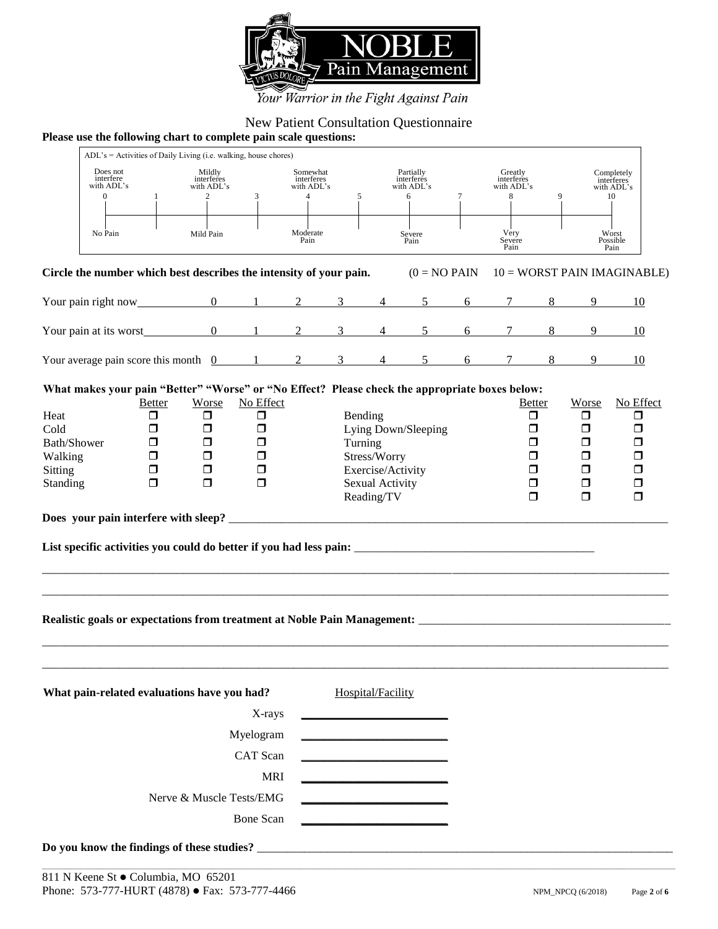

## Your Warrior in the Fight Against Pain

# New Patient Consultation Questionnaire

#### **Please use the following chart to complete pain scale questions:**

|                                                                                                                                                                                                                                                                                                                                                                                                                                                                                                                                                                                                                                                                                            |   | ADL's = Activities of Daily Living (i.e. walking, house chores) |            |                                                        |  |                   |                                            |   |                                          |   |   |                                              |
|--------------------------------------------------------------------------------------------------------------------------------------------------------------------------------------------------------------------------------------------------------------------------------------------------------------------------------------------------------------------------------------------------------------------------------------------------------------------------------------------------------------------------------------------------------------------------------------------------------------------------------------------------------------------------------------------|---|-----------------------------------------------------------------|------------|--------------------------------------------------------|--|-------------------|--------------------------------------------|---|------------------------------------------|---|---|----------------------------------------------|
| Does not<br>interfere<br>with ADL's<br>$\Omega$                                                                                                                                                                                                                                                                                                                                                                                                                                                                                                                                                                                                                                            | 1 | Mildly<br>interferes<br>with ADL's<br>$\overline{2}$            | 3          | Somewhat<br>interferes<br>with ADL's<br>$\overline{4}$ |  | 5                 | Partially<br>interferes<br>with ADL's<br>6 | 7 | Greatly<br>interferes<br>with ADL's<br>8 | 9 |   | Completely<br>interferes<br>with ADL's<br>10 |
| No Pain                                                                                                                                                                                                                                                                                                                                                                                                                                                                                                                                                                                                                                                                                    |   | Mild Pain                                                       |            | Moderate<br>Pain                                       |  |                   | Severe<br>Pain                             |   | Very<br>Severe<br>Pain                   |   |   | Worst<br>Possible<br>Pain                    |
| Circle the number which best describes the intensity of your pain.                                                                                                                                                                                                                                                                                                                                                                                                                                                                                                                                                                                                                         |   |                                                                 |            |                                                        |  |                   | $(0 = NO$ PAIN                             |   |                                          |   |   | $10 = WORST$ PAIN IMAGINABLE)                |
| Your pain right now $\frac{0}{1}$ $\frac{1}{2}$ $\frac{3}{3}$ $\frac{4}{4}$ $\frac{5}{5}$ $\frac{6}{7}$ $\frac{7}{8}$                                                                                                                                                                                                                                                                                                                                                                                                                                                                                                                                                                      |   |                                                                 |            |                                                        |  |                   |                                            |   |                                          |   | 9 | -10                                          |
| Your pain at its worst $\begin{array}{cccccccc} 0 & 1 & 2 & 3 & 4 & 5 & 6 & 7 & 8 \end{array}$                                                                                                                                                                                                                                                                                                                                                                                                                                                                                                                                                                                             |   |                                                                 |            |                                                        |  |                   |                                            |   |                                          |   | 9 | 10                                           |
| Your average pain score this month $\frac{0}{2}$ 1 2 3 4 5 6 7 8                                                                                                                                                                                                                                                                                                                                                                                                                                                                                                                                                                                                                           |   |                                                                 |            |                                                        |  |                   |                                            |   |                                          |   | 9 | 10                                           |
| What makes your pain "Better" "Worse" or "No Effect? Please check the appropriate boxes below:<br>No Effect<br>No Effect<br><b>Worse</b><br><b>Better</b><br>Worse<br><b>Better</b><br>Heat<br>σ<br>$\Box$<br>α<br>Bending<br>$\Box$<br>$\Box$<br>□<br>$\Box$<br>Lying Down/Sleeping<br>Cold<br>$\Box$<br>$\Box$<br>$\Box$<br>$\Box$<br>□<br>Bath/Shower<br>$\Box$<br>$\Box$<br>Turning<br>⊓<br>$\Box$<br>□<br>□<br>$\Box$<br>$\Box$<br>Stress/Worry<br>Walking<br>⊓<br>□<br>П<br>□<br>$\Box$<br>$\Box$<br>Exercise/Activity<br>$\Box$<br><b>Sitting</b><br>□<br>⊓<br>□<br>$\Box$<br>$\Box$<br>$\Box$<br>Sexual Activity<br>Standing<br>□<br>□<br>□<br>Reading/TV<br>$\Box$<br>$\Box$<br>□ |   |                                                                 |            |                                                        |  |                   |                                            |   |                                          |   |   |                                              |
|                                                                                                                                                                                                                                                                                                                                                                                                                                                                                                                                                                                                                                                                                            |   |                                                                 |            |                                                        |  |                   |                                            |   |                                          |   |   |                                              |
| What pain-related evaluations have you had?                                                                                                                                                                                                                                                                                                                                                                                                                                                                                                                                                                                                                                                |   |                                                                 | X-rays     |                                                        |  | Hospital/Facility |                                            |   |                                          |   |   |                                              |
|                                                                                                                                                                                                                                                                                                                                                                                                                                                                                                                                                                                                                                                                                            |   |                                                                 | Myelogram  |                                                        |  |                   |                                            |   |                                          |   |   |                                              |
| CAT Scan                                                                                                                                                                                                                                                                                                                                                                                                                                                                                                                                                                                                                                                                                   |   |                                                                 |            |                                                        |  |                   |                                            |   |                                          |   |   |                                              |
|                                                                                                                                                                                                                                                                                                                                                                                                                                                                                                                                                                                                                                                                                            |   |                                                                 | <b>MRI</b> |                                                        |  |                   |                                            |   |                                          |   |   |                                              |
|                                                                                                                                                                                                                                                                                                                                                                                                                                                                                                                                                                                                                                                                                            |   | Nerve & Muscle Tests/EMG                                        | Bone Scan  |                                                        |  |                   |                                            |   |                                          |   |   |                                              |
|                                                                                                                                                                                                                                                                                                                                                                                                                                                                                                                                                                                                                                                                                            |   |                                                                 |            |                                                        |  |                   |                                            |   |                                          |   |   |                                              |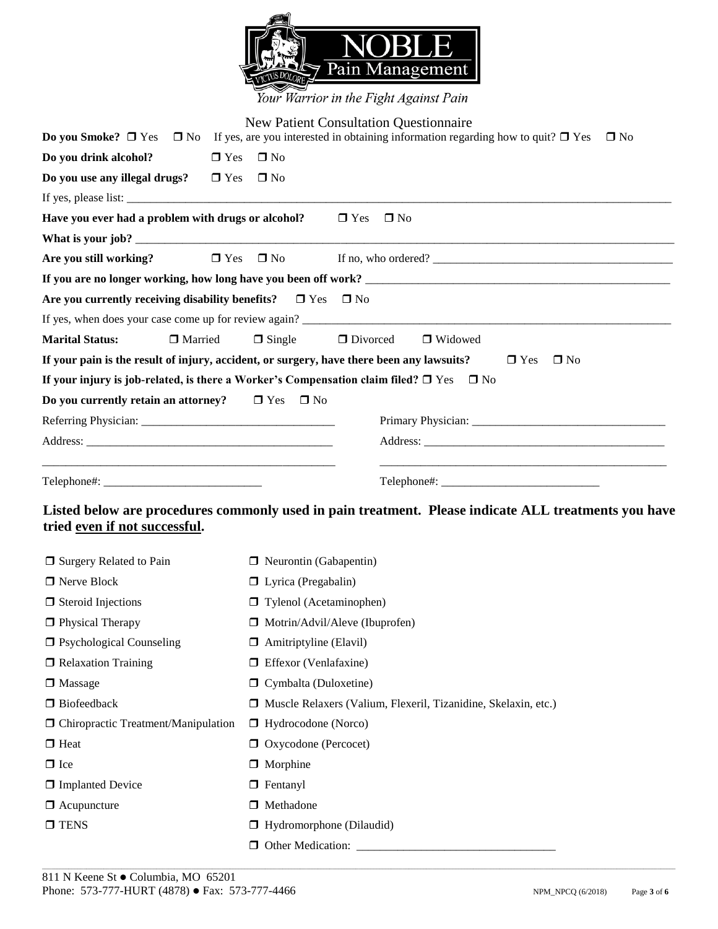

Your Warrior in the Fight Against Pain

|                                                                                                   |                                | <b>New Patient Consultation Questionnaire</b>                                                                                                |
|---------------------------------------------------------------------------------------------------|--------------------------------|----------------------------------------------------------------------------------------------------------------------------------------------|
|                                                                                                   |                                | <b>Do you Smoke?</b> $\Box$ Yes $\Box$ No If yes, are you interested in obtaining information regarding how to quit? $\Box$ Yes<br>$\Box$ No |
| Do you drink alcohol?<br>$\Box$ Yes                                                               | $\Box$ No                      |                                                                                                                                              |
| Do you use any illegal drugs?<br>$\Box$ Yes                                                       | $\square$ No                   |                                                                                                                                              |
|                                                                                                   |                                |                                                                                                                                              |
| Have you ever had a problem with drugs or alcohol?                                                |                                | $\Box$ Yes $\Box$ No                                                                                                                         |
|                                                                                                   |                                |                                                                                                                                              |
| $\Box$ Yes<br>Are you still working?                                                              | $\Box$ No                      |                                                                                                                                              |
|                                                                                                   |                                |                                                                                                                                              |
| Are you currently receiving disability benefits? $\Box$ Yes $\Box$ No                             |                                |                                                                                                                                              |
|                                                                                                   |                                |                                                                                                                                              |
| <b>Marital Status:</b><br>□ Married                                                               | $\Box$ Single                  | $\Box$ Divorced<br>□ Widowed                                                                                                                 |
| If your pain is the result of injury, accident, or surgery, have there been any lawsuits?         |                                | $\Box$ Yes<br>$\Box$ No                                                                                                                      |
| If your injury is job-related, is there a Worker's Compensation claim filed? $\Box$ Yes $\Box$ No |                                |                                                                                                                                              |
| Do you currently retain an attorney?                                                              | $\Box$ Yes<br>$\Box$ No        |                                                                                                                                              |
|                                                                                                   |                                |                                                                                                                                              |
|                                                                                                   |                                |                                                                                                                                              |
|                                                                                                   |                                |                                                                                                                                              |
|                                                                                                   |                                |                                                                                                                                              |
| tried even if not successful.                                                                     |                                | Listed below are procedures commonly used in pain treatment. Please indicate ALL treatments you have                                         |
| □ Surgery Related to Pain                                                                         | $\Box$ Neurontin (Gabapentin)  |                                                                                                                                              |
| □ Nerve Block                                                                                     | $\Box$ Lyrica (Pregabalin)     |                                                                                                                                              |
| $\Box$ Steroid Injections                                                                         | $\Box$ Tylenol (Acetaminophen) |                                                                                                                                              |
| $\Box$ Physical Therapy                                                                           |                                | $\Box$ Motrin/Advil/Aleve (Ibuprofen)                                                                                                        |
| $\Box$ Psychological Counseling                                                                   | $\Box$ Amitriptyline (Elavil)  |                                                                                                                                              |
| $\Box$ Relaxation Training                                                                        | $\Box$ Effexor (Venlafaxine)   |                                                                                                                                              |
| $\Box$ Massage                                                                                    | $\Box$ Cymbalta (Duloxetine)   |                                                                                                                                              |
| $\Box$ Biofeedback                                                                                |                                | □ Muscle Relaxers (Valium, Flexeril, Tizanidine, Skelaxin, etc.)                                                                             |
| $\Box$ Chiropractic Treatment/Manipulation                                                        | $\Box$ Hydrocodone (Norco)     |                                                                                                                                              |
| $\Box$ Heat                                                                                       | □ Oxycodone (Percocet)         |                                                                                                                                              |
| $\Box$ Ice                                                                                        | $\Box$ Morphine                |                                                                                                                                              |
| <b>I</b> Implanted Device                                                                         | $\Box$ Fentanyl                |                                                                                                                                              |
| $\Box$ Acupuncture                                                                                | □ Methadone                    |                                                                                                                                              |
| $\Box$ TENS                                                                                       | Hydromorphone (Dilaudid)       |                                                                                                                                              |
|                                                                                                   | <b>D</b> Other Medication:     |                                                                                                                                              |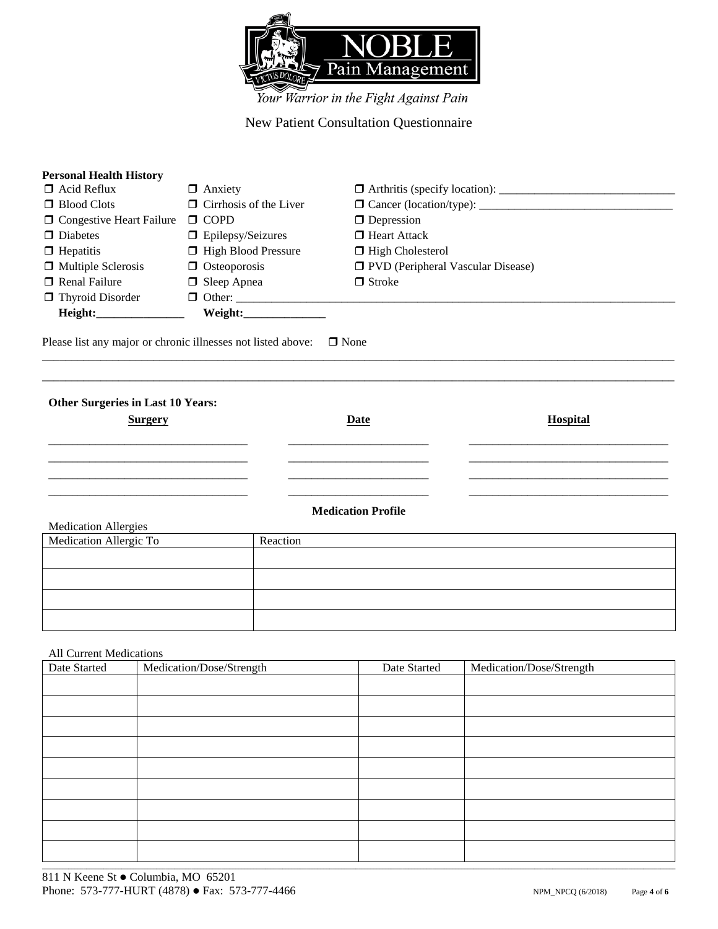

### New Patient Consultation Questionnaire

| $\Box$ Anxiety                |                                            |
|-------------------------------|--------------------------------------------|
| $\Box$ Cirrhosis of the Liver |                                            |
| $\Box$ COPD                   | $\Box$ Depression                          |
| $\Box$ Epilepsy/Seizures      | $\Box$ Heart Attack                        |
| □ High Blood Pressure         | □ High Cholesterol                         |
| $\Box$ Osteoporosis           | <b>D</b> PVD (Peripheral Vascular Disease) |
| $\Box$ Sleep Apnea            | $\Box$ Stroke                              |
|                               |                                            |
| Weight:                       |                                            |
|                               |                                            |

\_\_\_\_\_\_\_\_\_\_\_\_\_\_\_\_\_\_\_\_\_\_\_\_\_\_\_\_\_\_\_\_\_\_\_\_\_\_\_\_\_\_\_\_\_\_\_\_\_\_\_\_\_\_\_\_\_\_\_\_\_\_\_\_\_\_\_\_\_\_\_\_\_\_\_\_\_\_\_\_\_\_\_\_\_\_\_\_\_\_\_\_\_\_\_\_\_\_\_\_\_\_\_\_\_\_\_\_ \_\_\_\_\_\_\_\_\_\_\_\_\_\_\_\_\_\_\_\_\_\_\_\_\_\_\_\_\_\_\_\_\_\_\_\_\_\_\_\_\_\_\_\_\_\_\_\_\_\_\_\_\_\_\_\_\_\_\_\_\_\_\_\_\_\_\_\_\_\_\_\_\_\_\_\_\_\_\_\_\_\_\_\_\_\_\_\_\_\_\_\_\_\_\_\_\_\_\_\_\_\_\_\_\_\_\_\_

Please list any major or chronic illnesses not listed above:  $\Box$  None

| Other Surgeries in Last 10 Years: |                           |                 |
|-----------------------------------|---------------------------|-----------------|
| <b>Surgery</b>                    | Date                      | <b>Hospital</b> |
|                                   |                           |                 |
|                                   |                           |                 |
|                                   | <b>Medication Profile</b> |                 |
| <b>Medication Allergies</b>       |                           |                 |
| Medication Allergic To            | Reaction                  |                 |
|                                   |                           |                 |
|                                   |                           |                 |

#### All Current Medications

| Date Started | Medication/Dose/Strength | Date Started | Medication/Dose/Strength |
|--------------|--------------------------|--------------|--------------------------|
|              |                          |              |                          |
|              |                          |              |                          |
|              |                          |              |                          |
|              |                          |              |                          |
|              |                          |              |                          |
|              |                          |              |                          |
|              |                          |              |                          |
|              |                          |              |                          |
|              |                          |              |                          |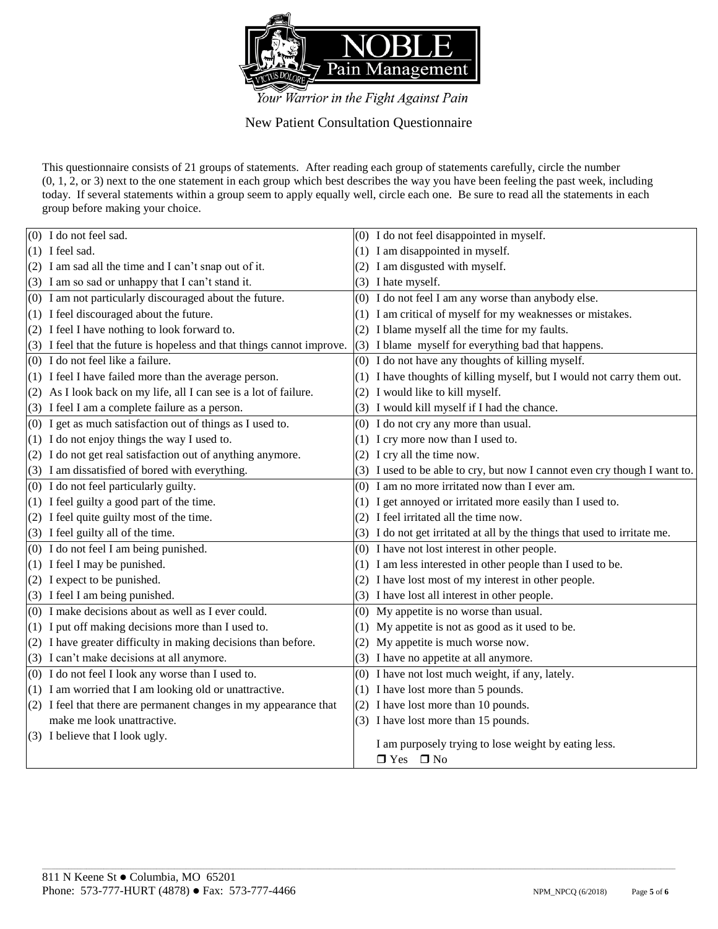

New Patient Consultation Questionnaire

This questionnaire consists of 21 groups of statements. After reading each group of statements carefully, circle the number (0, 1, 2, or 3) next to the one statement in each group which best describes the way you have been feeling the past week, including today. If several statements within a group seem to apply equally well, circle each one. Be sure to read all the statements in each group before making your choice.

| (0) I do not feel sad.                                                 | (0) I do not feel disappointed in myself.                                 |
|------------------------------------------------------------------------|---------------------------------------------------------------------------|
| $(1)$ I feel sad.                                                      | (1) I am disappointed in myself.                                          |
| (2) I am sad all the time and I can't snap out of it.                  | (2) I am disgusted with myself.                                           |
| (3) I am so sad or unhappy that I can't stand it.                      | (3) I hate myself.                                                        |
| (0) I am not particularly discouraged about the future.                | (0) I do not feel I am any worse than anybody else.                       |
| (1) I feel discouraged about the future.                               | (1) I am critical of myself for my weaknesses or mistakes.                |
| (2) I feel I have nothing to look forward to.                          | (2) I blame myself all the time for my faults.                            |
| (3) I feel that the future is hopeless and that things cannot improve. | (3) I blame myself for everything bad that happens.                       |
| (0) I do not feel like a failure.                                      | (0) I do not have any thoughts of killing myself.                         |
| (1) I feel I have failed more than the average person.                 | (1) I have thoughts of killing myself, but I would not carry them out.    |
| (2) As I look back on my life, all I can see is a lot of failure.      | (2) I would like to kill myself.                                          |
| (3) I feel I am a complete failure as a person.                        | (3) I would kill myself if I had the chance.                              |
| (0) I get as much satisfaction out of things as I used to.             | (0) I do not cry any more than usual.                                     |
| (1) I do not enjoy things the way I used to.                           | (1) I cry more now than I used to.                                        |
| (2) I do not get real satisfaction out of anything anymore.            | (2) I cry all the time now.                                               |
| (3) I am dissatisfied of bored with everything.                        | (3) I used to be able to cry, but now I cannot even cry though I want to. |
| (0) I do not feel particularly guilty.                                 | (0) I am no more irritated now than I ever am.                            |
| (1) I feel guilty a good part of the time.                             | (1) I get annoyed or irritated more easily than I used to.                |
| (2) I feel quite guilty most of the time.                              | (2) I feel irritated all the time now.                                    |
| (3) I feel guilty all of the time.                                     | (3) I do not get irritated at all by the things that used to irritate me. |
| (0) I do not feel I am being punished.                                 | (0) I have not lost interest in other people.                             |
| (1) I feel I may be punished.                                          | (1) I am less interested in other people than I used to be.               |
| (2) I expect to be punished.                                           | (2) I have lost most of my interest in other people.                      |
| (3) I feel I am being punished.                                        | (3) I have lost all interest in other people.                             |
| (0) I make decisions about as well as I ever could.                    | (0) My appetite is no worse than usual.                                   |
| (1) I put off making decisions more than I used to.                    | (1) My appetite is not as good as it used to be.                          |
| (2) I have greater difficulty in making decisions than before.         | (2) My appetite is much worse now.                                        |
| (3) I can't make decisions at all anymore.                             | (3) I have no appetite at all anymore.                                    |
| (0) I do not feel I look any worse than I used to.                     | (0) I have not lost much weight, if any, lately.                          |
| (1) I am worried that I am looking old or unattractive.                | (1) I have lost more than 5 pounds.                                       |
| (2) I feel that there are permanent changes in my appearance that      | (2) I have lost more than 10 pounds.                                      |
| make me look unattractive.                                             | (3) I have lost more than 15 pounds.                                      |
| (3) I believe that I look ugly.                                        | I am purposely trying to lose weight by eating less.                      |
|                                                                        | $\Box$ Yes $\Box$ No                                                      |